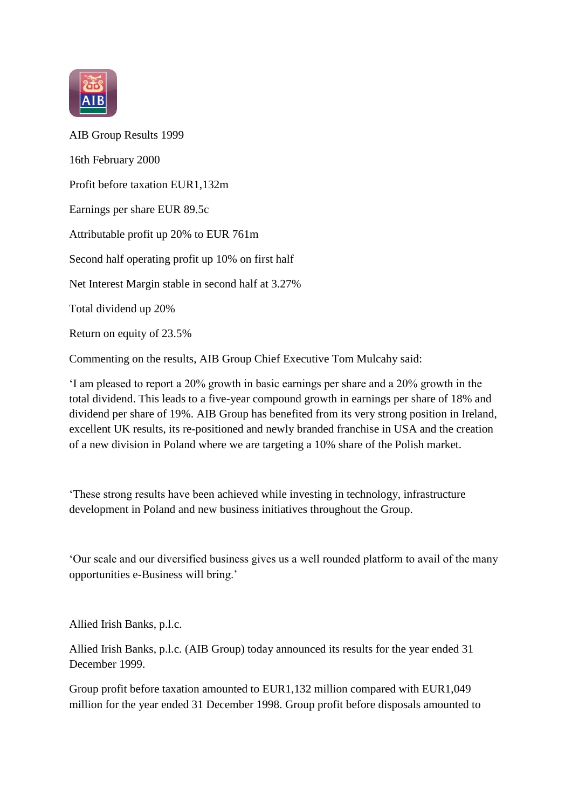

AIB Group Results 1999 16th February 2000 Profit before taxation EUR1,132m Earnings per share EUR 89.5c Attributable profit up 20% to EUR 761m Second half operating profit up 10% on first half Net Interest Margin stable in second half at 3.27% Total dividend up 20% Return on equity of 23.5%

Commenting on the results, AIB Group Chief Executive Tom Mulcahy said:

'I am pleased to report a 20% growth in basic earnings per share and a 20% growth in the total dividend. This leads to a five-year compound growth in earnings per share of 18% and dividend per share of 19%. AIB Group has benefited from its very strong position in Ireland, excellent UK results, its re-positioned and newly branded franchise in USA and the creation of a new division in Poland where we are targeting a 10% share of the Polish market.

'These strong results have been achieved while investing in technology, infrastructure development in Poland and new business initiatives throughout the Group.

'Our scale and our diversified business gives us a well rounded platform to avail of the many opportunities e-Business will bring.'

Allied Irish Banks, p.l.c.

Allied Irish Banks, p.l.c. (AIB Group) today announced its results for the year ended 31 December 1999.

Group profit before taxation amounted to EUR1,132 million compared with EUR1,049 million for the year ended 31 December 1998. Group profit before disposals amounted to